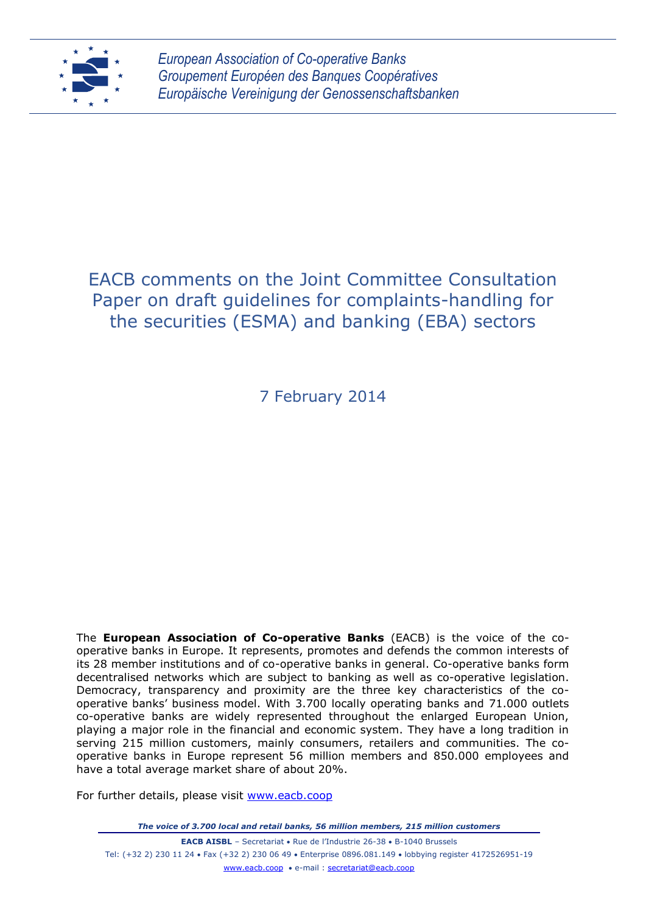

*European Association of Co-operative Banks Groupement Européen des Banques Coopératives Europäische Vereinigung der Genossenschaftsbanken*

# EACB comments on the Joint Committee Consultation Paper on draft guidelines for complaints-handling for the securities (ESMA) and banking (EBA) sectors

7 February 2014

The **European Association of Co-operative Banks** (EACB) is the voice of the cooperative banks in Europe. It represents, promotes and defends the common interests of its 28 member institutions and of co-operative banks in general. Co-operative banks form decentralised networks which are subject to banking as well as co-operative legislation. Democracy, transparency and proximity are the three key characteristics of the cooperative banks' business model. With 3.700 locally operating banks and 71.000 outlets co-operative banks are widely represented throughout the enlarged European Union, playing a major role in the financial and economic system. They have a long tradition in serving 215 million customers, mainly consumers, retailers and communities. The cooperative banks in Europe represent 56 million members and 850.000 employees and have a total average market share of about 20%.

For further details, please visit [www.eacb.coop](http://www.eacb.coop/)

*The voice of 3.700 local and retail banks, 56 million members, 215 million customers*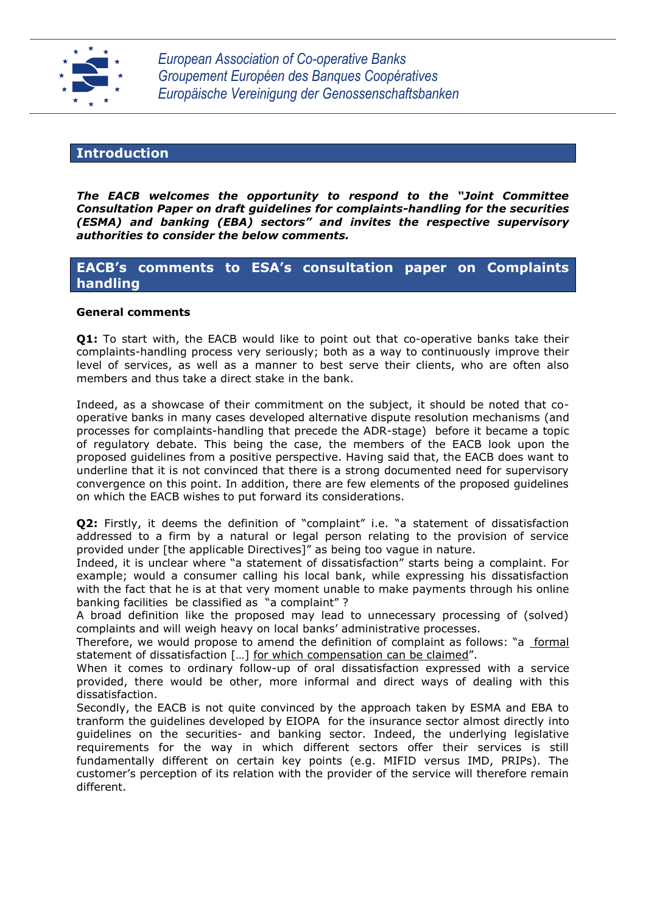

*European Association of Co-operative Banks Groupement Européen des Banques Coopératives Europäische Vereinigung der Genossenschaftsbanken*

# **Introduction**

*The EACB welcomes the opportunity to respond to the "Joint Committee Consultation Paper on draft guidelines for complaints-handling for the securities (ESMA) and banking (EBA) sectors" and invites the respective supervisory authorities to consider the below comments.*

# **EACB's comments to ESA's consultation paper on Complaints handling**

## **General comments**

**Q1:** To start with, the EACB would like to point out that co-operative banks take their complaints-handling process very seriously; both as a way to continuously improve their level of services, as well as a manner to best serve their clients, who are often also members and thus take a direct stake in the bank.

Indeed, as a showcase of their commitment on the subject, it should be noted that cooperative banks in many cases developed alternative dispute resolution mechanisms (and processes for complaints-handling that precede the ADR-stage) before it became a topic of regulatory debate. This being the case, the members of the EACB look upon the proposed guidelines from a positive perspective. Having said that, the EACB does want to underline that it is not convinced that there is a strong documented need for supervisory convergence on this point. In addition, there are few elements of the proposed guidelines on which the EACB wishes to put forward its considerations.

**Q2:** Firstly, it deems the definition of "complaint" i.e. "a statement of dissatisfaction addressed to a firm by a natural or legal person relating to the provision of service provided under [the applicable Directives]" as being too vague in nature.

Indeed, it is unclear where "a statement of dissatisfaction" starts being a complaint. For example; would a consumer calling his local bank, while expressing his dissatisfaction with the fact that he is at that very moment unable to make payments through his online banking facilities be classified as "a complaint" ?

A broad definition like the proposed may lead to unnecessary processing of (solved) complaints and will weigh heavy on local banks' administrative processes.

Therefore, we would propose to amend the definition of complaint as follows: "a formal statement of dissatisfaction […] for which compensation can be claimed".

When it comes to ordinary follow-up of oral dissatisfaction expressed with a service provided, there would be other, more informal and direct ways of dealing with this dissatisfaction.

Secondly, the EACB is not quite convinced by the approach taken by ESMA and EBA to tranform the guidelines developed by EIOPA for the insurance sector almost directly into guidelines on the securities- and banking sector. Indeed, the underlying legislative requirements for the way in which different sectors offer their services is still fundamentally different on certain key points (e.g. MIFID versus IMD, PRIPs). The customer's perception of its relation with the provider of the service will therefore remain different.